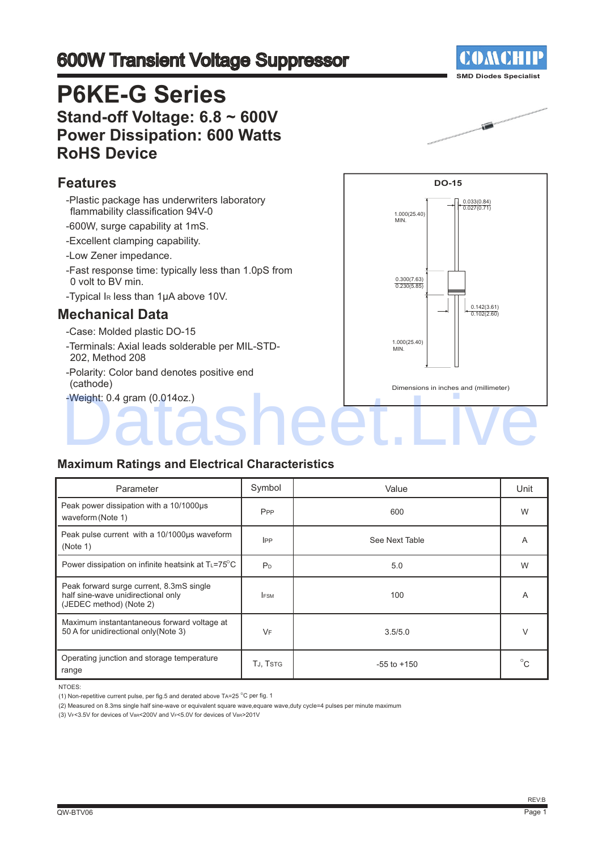## 600W Transient Voltage Suppressor

## **P6KE-G Series Stand-off Voltage: 6.8 ~ 600V Power Dissipation: 600 Watts RoHS Device**

### **Features**

- -Plastic package has underwriters laboratory flammability classification 94V-0
- -600W, surge capability at 1mS.
- -Excellent clamping capability.
- -Low Zener impedance.
- -Fast response time: typically less than 1.0pS from 0 volt to BV min.
- -Typical IR less than 1μA above 10V.

### **Mechanical Data**

- -Case: Molded plastic DO-15
- -Terminals: Axial leads solderable per MIL-STD-202, Method 208
- -Polarity: Color band denotes positive end (cathode)
- -Weight: 0.4 gram (0.014oz.)



#### **Maximum Ratings and Electrical Characteristics**

| Parameter                                                                                                 | Symbol          | Value           | Unit         |
|-----------------------------------------------------------------------------------------------------------|-----------------|-----------------|--------------|
| Peak power dissipation with a 10/1000us<br>waveform (Note 1)                                              | P <sub>PP</sub> | 600             | W            |
| Peak pulse current with a 10/1000us waveform<br>(Note 1)                                                  | <b>IPP</b>      | See Next Table  | A            |
| Power dissipation on infinite heatsink at $T_L = 75^\circ \text{C}$                                       | P <sub>D</sub>  | 5.0             | W            |
| Peak forward surge current, 8.3mS single<br>half sine-wave unidirectional only<br>(JEDEC method) (Note 2) | <b>IFSM</b>     | 100             | A            |
| Maximum instantantaneous forward voltage at<br>50 A for unidirectional only (Note 3)                      | VF              | 3.5/5.0         | $\vee$       |
| Operating junction and storage temperature<br>range                                                       | TJ, TSTG        | $-55$ to $+150$ | $^{\circ}$ C |

NTOES:

(2) Measured on 8.3ms single half sine-wave or equivalent square wave,equare wave,duty cycle=4 pulses per minute maximum

(3) VF<3.5V for devices of VBR<200V and VF<5.0V for devices of VBR>201V





<sup>(1)</sup> Non-repetitive current pulse, per fig.5 and derated above TA=25  $^{\circ}$ C per fig. 1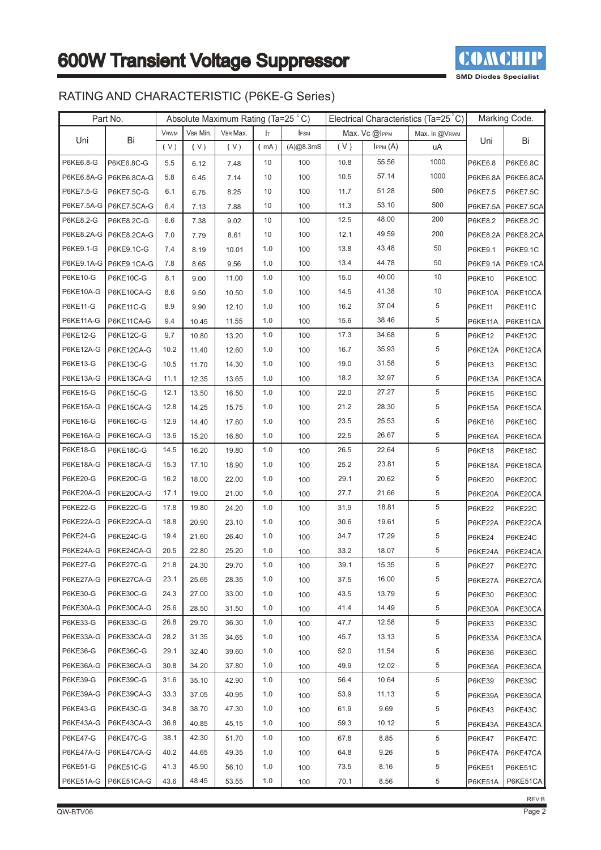

## RATING AND CHARACTERISTIC (P6KE-G Series)

|                 | Part No.                 | Absolute Maximum Rating (Ta=25 °C) |          |          |      |             | Electrical Characteristics (Ta=25 °C) |               |                | Marking Code.   |                |
|-----------------|--------------------------|------------------------------------|----------|----------|------|-------------|---------------------------------------|---------------|----------------|-----------------|----------------|
|                 |                          | <b>VRWM</b>                        | VBR Min. | VBR Max. | Iт   | <b>IFSM</b> |                                       | Max. Vc @IPPM | Max. IR @VRWM  |                 |                |
| Uni             | Bi                       | (V)                                | (V)      | (V)      | (mA) | (A)@8.3mS   | (V)                                   | IPPM(A)       | uA             | Uni             | Bi             |
| P6KE6.8-G       | P6KE6.8C-G               | 5.5                                | 6.12     | 7.48     | 10   | 100         | 10.8                                  | 55.56         | 1000           | P6KE6.8         | P6KE6.8C       |
|                 | P6KE6.8A-G P6KE6.8CA-G   | 5.8                                | 6.45     | 7.14     | 10   | 100         | 10.5                                  | 57.14         | 1000           | P6KE6.8A        | P6KE6.8CA      |
| P6KE7.5-G       | P6KE7.5C-G               | 6.1                                | 6.75     | 8.25     | 10   | 100         | 11.7                                  | 51.28         | 500            | P6KE7.5         | P6KE7.5C       |
|                 | P6KE7.5A-G   P6KE7.5CA-G | 6.4                                | 7.13     | 7.88     | 10   | 100         | 11.3                                  | 53.10         | 500            | <b>P6KE7.5A</b> | P6KE7.5CA      |
| P6KE8.2-G       | P6KE8.2C-G               | 6.6                                | 7.38     | 9.02     | 10   | 100         | 12.5                                  | 48.00         | 200            | P6KE8.2         | P6KE8.2C       |
| P6KE8.2A-G      | P6KE8.2CA-G              | 7.0                                | 7.79     | 8.61     | 10   | 100         | 12.1                                  | 49.59         | 200            | P6KE8.2A        | P6KE8.2CA      |
| P6KE9.1-G       | P6KE9.1C-G               | 7.4                                | 8.19     | 10.01    | 1.0  | 100         | 13.8                                  | 43.48         | 50             | P6KE9.1         | P6KE9.1C       |
| P6KE9.1A-G      | P6KE9.1CA-G              | 7.8                                | 8.65     | 9.56     | 1.0  | 100         | 13.4                                  | 44.78         | 50             | P6KE9.1A        | P6KE9.1CA      |
| P6KE10-G        | P6KE10C-G                | 8.1                                | 9.00     | 11.00    | 1.0  | 100         | 15.0                                  | 40.00         | 10             | P6KE10          | <b>P6KE10C</b> |
| P6KE10A-G       | P6KE10CA-G               | 8.6                                | 9.50     | 10.50    | 1.0  | 100         | 14.5                                  | 41.38         | 10             | P6KE10A         | P6KE10CA       |
| P6KE11-G        | P6KE11C-G                | 8.9                                | 9.90     | 12.10    | 1.0  | 100         | 16.2                                  | 37.04         | 5              | P6KE11          | <b>P6KE11C</b> |
| P6KE11A-G       | P6KE11CA-G               | 9.4                                | 10.45    | 11.55    | 1.0  | 100         | 15.6                                  | 38.46         | 5              | P6KE11A         | P6KE11CA       |
| P6KE12-G        | <b>P6KE12C-G</b>         | 9.7                                | 10.80    | 13.20    | 1.0  | 100         | 17.3                                  | 34.68         | 5              | <b>P6KE12</b>   | P4KE12C        |
| P6KE12A-G       | P6KE12CA-G               | 10.2                               | 11.40    | 12.60    | 1.0  | 100         | 16.7                                  | 35.93         | 5              | P6KE12A         | P6KE12CA       |
| P6KE13-G        | P6KE13C-G                | 10.5                               | 11.70    | 14.30    | 1.0  | 100         | 19.0                                  | 31.58         | 5              | <b>P6KE13</b>   | P6KE13C        |
| P6KE13A-G       | P6KE13CA-G               | 11.1                               | 12.35    | 13.65    | 1.0  | 100         | 18.2                                  | 32.97         | 5              | P6KE13A         | P6KE13CA       |
| P6KE15-G        | P6KE15C-G                | 12.1                               | 13.50    | 16.50    | 1.0  | 100         | 22.0                                  | 27.27         | 5              | <b>P6KE15</b>   | P6KE15C        |
| P6KE15A-G       | P6KE15CA-G               | 12.8                               | 14.25    | 15.75    | 1.0  | 100         | 21.2                                  | 28.30         | 5              | P6KE15A         | P6KE15CA       |
| P6KE16-G        | P6KE16C-G                | 12.9                               | 14.40    | 17.60    | 1.0  | 100         | 23.5                                  | 25.53         | 5              | <b>P6KE16</b>   | P6KE16C        |
| P6KE16A-G       | P6KE16CA-G               | 13.6                               | 15.20    | 16.80    | 1.0  | 100         | 22.5                                  | 26.67         | 5              | P6KE16A         | P6KE16CA       |
| P6KE18-G        | P6KE18C-G                | 14.5                               | 16.20    | 19.80    | 1.0  | 100         | 26.5                                  | 22.64         | 5              | <b>P6KE18</b>   | P6KE18C        |
| P6KE18A-G       | P6KE18CA-G               | 15.3                               | 17.10    | 18.90    | 1.0  | 100         | 25.2                                  | 23.81         | 5              | P6KE18A         | P6KE18CA       |
| P6KE20-G        | P6KE20C-G                | 16.2                               | 18.00    | 22.00    | 1.0  | 100         | 29.1                                  | 20.62         | 5              | <b>P6KE20</b>   | P6KE20C        |
| P6KE20A-G       | P6KE20CA-G               | 17.1                               | 19.00    | 21.00    | 1.0  | 100         | 27.7                                  | 21.66         | 5              | P6KE20A         | P6KE20CA       |
| P6KE22-G        | P6KE22C-G                | 17.8                               | 19.80    | 24.20    | 1.0  | 100         | 31.9                                  | 18.81         | 5              | <b>P6KE22</b>   | P6KE22C        |
| P6KE22A-G       | P6KE22CA-G               | 18.8                               | 20.90    | 23.10    | 1.0  | 100         | 30.6                                  | 19.61         | 5              | P6KE22A         | P6KE22CA       |
| <b>P6KE24-G</b> | P6KE24C-G                | 19.4                               | 21.60    | 26.40    | 1.0  | 100         | 34.7                                  | 17.29         | 5              | <b>P6KE24</b>   | P6KE24C        |
| P6KE24A-G       | P6KE24CA-G               | 20.5                               | 22.80    | 25.20    | 1.0  | 100         | 33.2                                  | 18.07         | 5              | P6KE24A         | P6KE24CA       |
| <b>P6KE27-G</b> | P6KE27C-G                | 21.8                               | 24.30    | 29.70    | 1.0  | 100         | 39.1                                  | 15.35         | 5              | P6KE27          | P6KE27C        |
| P6KE27A-G       | P6KE27CA-G               | 23.1                               | 25.65    | 28.35    | 1.0  | 100         | 37.5                                  | 16.00         | 5              | P6KE27A         | P6KE27CA       |
| <b>P6KE30-G</b> | P6KE30C-G                | 24.3                               | 27.00    | 33.00    | 1.0  | 100         | 43.5                                  | 13.79         | 5              | <b>P6KE30</b>   | P6KE30C        |
| P6KE30A-G       | P6KE30CA-G               | 25.6                               | 28.50    | 31.50    | 1.0  | 100         | 41.4                                  | 14.49         | 5              | P6KE30A         | P6KE30CA       |
| P6KE33-G        | P6KE33C-G                | 26.8                               | 29.70    | 36.30    | 1.0  | 100         | 47.7                                  | 12.58         | $\overline{5}$ | P6KE33          | P6KE33C        |
| P6KE33A-G       | P6KE33CA-G               | 28.2                               | 31.35    | 34.65    | 1.0  | 100         | 45.7                                  | 13.13         | 5              | P6KE33A         | P6KE33CA       |
| P6KE36-G        | P6KE36C-G                | 29.1                               | 32.40    | 39.60    | 1.0  | 100         | 52.0                                  | 11.54         | 5              | P6KE36          | P6KE36C        |
| P6KE36A-G       | P6KE36CA-G               | 30.8                               | 34.20    | 37.80    | 1.0  | 100         | 49.9                                  | 12.02         | 5              | P6KE36A         | P6KE36CA       |
| P6KE39-G        | P6KE39C-G                | 31.6                               | 35.10    | 42.90    | 1.0  | 100         | 56.4                                  | 10.64         | $\,$ 5 $\,$    | <b>P6KE39</b>   | P6KE39C        |
| P6KE39A-G       | P6KE39CA-G               | 33.3                               | 37.05    | 40.95    | 1.0  | 100         | 53.9                                  | 11.13         | 5              | P6KE39A         | P6KE39CA       |
| P6KE43-G        | P6KE43C-G                | 34.8                               | 38.70    | 47.30    | 1.0  | 100         | 61.9                                  | 9.69          | 5              | P6KE43          | P6KE43C        |
| P6KE43A-G       | P6KE43CA-G               | 36.8                               | 40.85    | 45.15    | 1.0  | 100         | 59.3                                  | 10.12         | 5              | P6KE43A         | P6KE43CA       |
| <b>P6KE47-G</b> | P6KE47C-G                | 38.1                               | 42.30    | 51.70    | 1.0  | 100         | 67.8                                  | 8.85          | 5              | <b>P6KE47</b>   | P6KE47C        |
| P6KE47A-G       | P6KE47CA-G               | 40.2                               | 44.65    | 49.35    | 1.0  | 100         | 64.8                                  | 9.26          | 5              | P6KE47A         | P6KE47CA       |
| <b>P6KE51-G</b> | P6KE51C-G                | 41.3                               | 45.90    | 56.10    | 1.0  | 100         | 73.5                                  | 8.16          | 5              | <b>P6KE51</b>   | P6KE51C        |
| P6KE51A-G       | P6KE51CA-G               | 43.6                               | 48.45    | 53.55    | 1.0  | 100         | 70.1                                  | 8.56          | 5              | P6KE51A         | P6KE51CA       |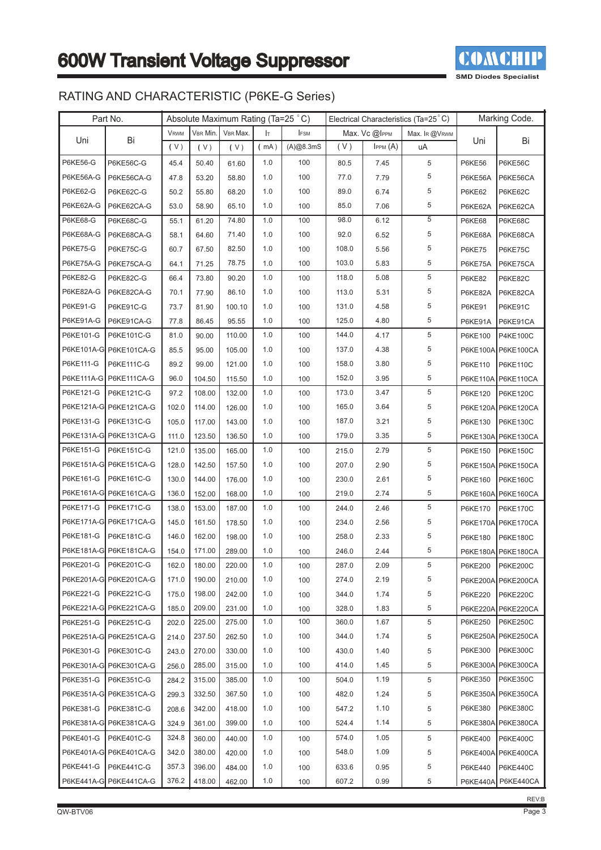

## RATING AND CHARACTERISTIC (P6KE-G Series)

|                 | Part No.               |             |          | Absolute Maximum Rating (Ta=25 °C) |      |             |       |               | Electrical Characteristics (Ta=25 °C) |                | Marking Code.      |
|-----------------|------------------------|-------------|----------|------------------------------------|------|-------------|-------|---------------|---------------------------------------|----------------|--------------------|
|                 |                        | <b>VRWM</b> | VBR Min. | VBR Max.                           | Iт   | <b>IFSM</b> |       | Max. Vc @IPPM | Max. IR @VRWM                         |                |                    |
| Uni             | Bi                     | (V)         | (V)      | (V)                                | (mA) | (A)@8.3mS   | (V)   | IPPM(A)       | uA                                    | Uni            | Bi                 |
| <b>P6KE56-G</b> | P6KE56C-G              | 45.4        | 50.40    | 61.60                              | 1.0  | 100         | 80.5  | 7.45          | 5                                     | <b>P6KE56</b>  | P6KE56C            |
| P6KE56A-G       | P6KE56CA-G             | 47.8        | 53.20    | 58.80                              | 1.0  | 100         | 77.0  | 7.79          | 5                                     | P6KE56A        | P6KE56CA           |
| P6KE62-G        | P6KE62C-G              | 50.2        | 55.80    | 68.20                              | 1.0  | 100         | 89.0  | 6.74          | 5                                     | <b>P6KE62</b>  | P6KE62C            |
| P6KE62A-G       | P6KE62CA-G             | 53.0        | 58.90    | 65.10                              | 1.0  | 100         | 85.0  | 7.06          | 5                                     | P6KE62A        | P6KE62CA           |
| <b>P6KE68-G</b> | P6KE68C-G              | 55.1        | 61.20    | 74.80                              | 1.0  | 100         | 98.0  | 6.12          | 5                                     | <b>P6KE68</b>  | P6KE68C            |
| P6KE68A-G       | P6KE68CA-G             | 58.1        | 64.60    | 71.40                              | 1.0  | 100         | 92.0  | 6.52          | 5                                     | P6KE68A        | P6KE68CA           |
| <b>P6KE75-G</b> | P6KE75C-G              | 60.7        | 67.50    | 82.50                              | 1.0  | 100         | 108.0 | 5.56          | 5                                     | <b>P6KE75</b>  | P6KE75C            |
| P6KE75A-G       | P6KE75CA-G             | 64.1        | 71.25    | 78.75                              | 1.0  | 100         | 103.0 | 5.83          | 5                                     | P6KE75A        | P6KE75CA           |
| <b>P6KE82-G</b> | P6KE82C-G              | 66.4        | 73.80    | 90.20                              | 1.0  | 100         | 118.0 | 5.08          | 5                                     | <b>P6KE82</b>  | P6KE82C            |
| P6KE82A-G       | P6KE82CA-G             | 70.1        | 77.90    | 86.10                              | 1.0  | 100         | 113.0 | 5.31          | 5                                     | P6KE82A        | P6KE82CA           |
| <b>P6KE91-G</b> | P6KE91C-G              | 73.7        | 81.90    | 100.10                             | 1.0  | 100         | 131.0 | 4.58          | 5                                     | <b>P6KE91</b>  | P6KE91C            |
| P6KE91A-G       | P6KE91CA-G             | 77.8        | 86.45    | 95.55                              | 1.0  | 100         | 125.0 | 4.80          | 5                                     | P6KE91A        | P6KE91CA           |
| P6KE101-G       | P6KE101C-G             | 81.0        | 90.00    | 110.00                             | 1.0  | 100         | 144.0 | 4.17          | 5                                     | P6KE100        | <b>P4KE100C</b>    |
|                 | P6KE101A-G P6KE101CA-G | 85.5        | 95.00    | 105.00                             | 1.0  | 100         | 137.0 | 4.38          | 5                                     |                | P6KE100A P6KE100CA |
| P6KE111-G       | P6KE111C-G             | 89.2        | 99.00    | 121.00                             | 1.0  | 100         | 158.0 | 3.80          | 5                                     | P6KE110        | P6KE110C           |
| P6KE111A-G      | P6KE111CA-G            | 96.0        | 104.50   | 115.50                             | 1.0  | 100         | 152.0 | 3.95          | 5                                     |                | P6KE110A P6KE110CA |
| P6KE121-G       | P6KE121C-G             | 97.2        | 108.00   | 132.00                             | 1.0  | 100         | 173.0 | 3.47          | 5                                     | P6KE120        | <b>P6KE120C</b>    |
|                 | P6KE121A-G P6KE121CA-G | 102.0       | 114.00   | 126.00                             | 1.0  | 100         | 165.0 | 3.64          | 5                                     |                | P6KE120A P6KE120CA |
| P6KE131-G       | P6KE131C-G             | 105.0       | 117.00   | 143.00                             | 1.0  | 100         | 187.0 | 3.21          | 5                                     | P6KE130        | P6KE130C           |
|                 | P6KE131A-G P6KE131CA-G | 111.0       | 123.50   | 136.50                             | 1.0  | 100         | 179.0 | 3.35          | 5                                     |                | P6KE130A P6KE130CA |
| P6KE151-G       | P6KE151C-G             | 121.0       | 135.00   | 165.00                             | 1.0  | 100         | 215.0 | 2.79          | 5                                     | P6KE150        | <b>P6KE150C</b>    |
|                 | P6KE151A-G P6KE151CA-G | 128.0       | 142.50   | 157.50                             | 1.0  | 100         | 207.0 | 2.90          | 5                                     |                | P6KE150A P6KE150CA |
| P6KE161-G       | P6KE161C-G             | 130.0       | 144.00   | 176.00                             | 1.0  | 100         | 230.0 | 2.61          | 5                                     | P6KE160        | <b>P6KE160C</b>    |
|                 | P6KE161A-G P6KE161CA-G | 136.0       | 152.00   | 168.00                             | 1.0  | 100         | 219.0 | 2.74          | 5                                     |                | P6KE160A P6KE160CA |
| P6KE171-G       | P6KE171C-G             | 138.0       | 153.00   | 187.00                             | 1.0  | 100         | 244.0 | 2.46          | 5                                     | P6KE170        | <b>P6KE170C</b>    |
|                 | P6KE171A-G P6KE171CA-G | 145.0       | 161.50   | 178.50                             | 1.0  | 100         | 234.0 | 2.56          | 5                                     |                | P6KE170A P6KE170CA |
| P6KE181-G       | P6KE181C-G             | 146.0       | 162.00   | 198.00                             | 1.0  | 100         | 258.0 | 2.33          | 5                                     | P6KE180        | P6KE180C           |
|                 | P6KE181A-G P6KE181CA-G | 154.0       | 171.00   | 289.00                             | 1.0  | 100         | 246.0 | 2.44          | 5                                     |                | P6KE180A P6KE180CA |
| P6KE201-G       | P6KE201C-G             | 162.0       | 180.00   | 220.00                             | 1.0  | 100         | 287.0 | 2.09          | 5                                     | P6KE200        | <b>P6KE200C</b>    |
|                 | P6KE201A-G P6KE201CA-G | 171.0       | 190.00   | 210.00                             | 1.0  | 100         | 274.0 | 2.19          | 5                                     |                | P6KE200A P6KE200CA |
| P6KE221-G       | P6KE221C-G             | 175.0       | 198.00   | 242.00                             | 1.0  | 100         | 344.0 | 1.74          | 5                                     | <b>P6KE220</b> | <b>P6KE220C</b>    |
|                 | P6KE221A-G P6KE221CA-G | 185.0       | 209.00   | 231.00                             | 1.0  | 100         | 328.0 | 1.83          | 5                                     |                | P6KE220A P6KE220CA |
| P6KE251-G       | P6KE251C-G             | 202.0       | 225.00   | 275.00                             | 1.0  | 100         | 360.0 | 1.67          | 5                                     | P6KE250        | <b>P6KE250C</b>    |
|                 | P6KE251A-G P6KE251CA-G | 214.0       | 237.50   | 262.50                             | 1.0  | 100         | 344.0 | 1.74          | 5                                     |                | P6KE250A P6KE250CA |
| P6KE301-G       | P6KE301C-G             | 243.0       | 270.00   | 330.00                             | 1.0  | 100         | 430.0 | 1.40          | 5                                     | P6KE300        | P6KE300C           |
|                 | P6KE301A-G P6KE301CA-G | 256.0       | 285.00   | 315.00                             | 1.0  | 100         | 414.0 | 1.45          | 5                                     |                | P6KE300A P6KE300CA |
| P6KE351-G       | P6KE351C-G             | 284.2       | 315.00   | 385.00                             | 1.0  | 100         | 504.0 | 1.19          | 5                                     | P6KE350        | <b>P6KE350C</b>    |
|                 | P6KE351A-G P6KE351CA-G | 299.3       | 332.50   | 367.50                             | 1.0  | 100         | 482.0 | 1.24          | 5                                     |                | P6KE350A P6KE350CA |
| P6KE381-G       | P6KE381C-G             | 208.6       | 342.00   | 418.00                             | 1.0  | 100         | 547.2 | 1.10          | 5                                     | P6KE380        | <b>P6KE380C</b>    |
|                 | P6KE381A-G P6KE381CA-G | 324.9       | 361.00   | 399.00                             | 1.0  | 100         | 524.4 | 1.14          | 5                                     |                | P6KE380A P6KE380CA |
| P6KE401-G       | P6KE401C-G             | 324.8       | 360.00   | 440.00                             | 1.0  | 100         | 574.0 | 1.05          | 5                                     | P6KE400        | <b>P6KE400C</b>    |
|                 | P6KE401A-G P6KE401CA-G | 342.0       | 380.00   | 420.00                             | 1.0  | 100         | 548.0 | 1.09          | 5                                     |                | P6KE400A P6KE400CA |
| P6KE441-G       | P6KE441C-G             | 357.3       | 396.00   | 484.00                             | 1.0  | 100         | 633.6 | 0.95          | 5                                     | P6KE440        | P6KE440C           |
|                 | P6KE441A-G P6KE441CA-G | 376.2       | 418.00   | 462.00                             | 1.0  | 100         | 607.2 | 0.99          | 5                                     |                | P6KE440A P6KE440CA |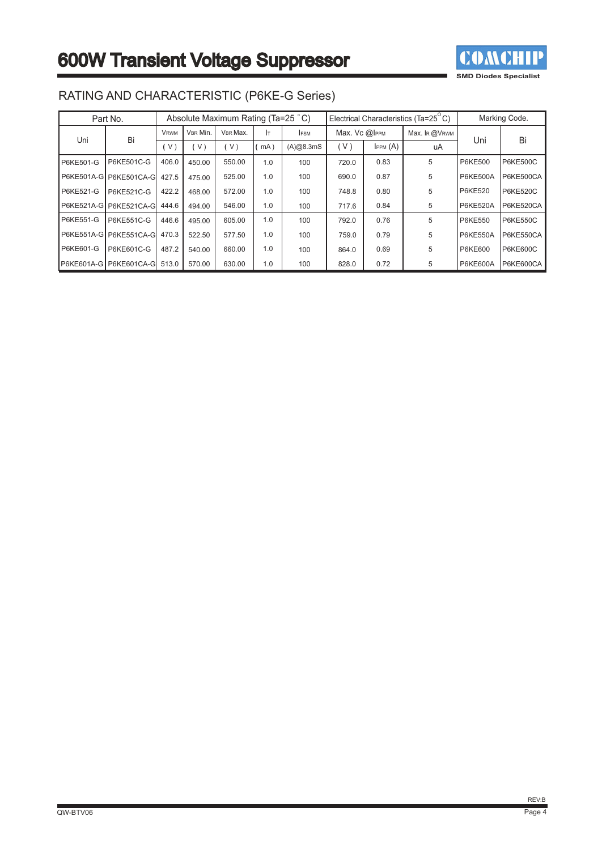

|                  | Part No.               |             | Absolute Maximum Rating (Ta=25 °C) |          |     |             | Electrical Characteristics (Ta=25 <sup>°</sup> C) |         |               | Marking Code.   |                  |
|------------------|------------------------|-------------|------------------------------------|----------|-----|-------------|---------------------------------------------------|---------|---------------|-----------------|------------------|
| Uni              | Bi                     | <b>VRWM</b> | VBR Min.                           | VBR Max. | Iт  | <b>IFSM</b> | Max. Vc @IPPM                                     |         | Max. IR @VRWM |                 | Bi               |
|                  |                        | V           | V <sub>1</sub>                     | V)       | mA  | (A)@8.3mS   | (V)                                               | IPPM(A) | uA            | Uni             |                  |
| <b>P6KE501-G</b> | P6KE501C-G             | 406.0       | 450.00                             | 550.00   | 1.0 | 100         | 720.0                                             | 0.83    | 5             | <b>P6KE500</b>  | <b>P6KE500C</b>  |
|                  | P6KE501A-G P6KE501CA-G | 427.5       | 475.00                             | 525.00   | 1.0 | 100         | 690.0                                             | 0.87    | 5             | <b>P6KE500A</b> | <b>P6KE500CA</b> |
| <b>P6KE521-G</b> | P6KE521C-G             | 422.2       | 468.00                             | 572.00   | 1.0 | 100         | 748.8                                             | 0.80    | 5             | P6KE520         | <b>P6KE520C</b>  |
|                  | P6KE521A-G P6KE521CA-G | 444.6       | 494.00                             | 546.00   | 1.0 | 100         | 717.6                                             | 0.84    | 5             | <b>P6KE520A</b> | P6KE520CA        |
| P6KE551-G        | P6KE551C-G             | 446.6       | 495.00                             | 605.00   | 1.0 | 100         | 792.0                                             | 0.76    | 5             | <b>P6KE550</b>  | <b>P6KE550C</b>  |
|                  | P6KE551A-G P6KE551CA-G | 470.3       | 522.50                             | 577.50   | 1.0 | 100         | 759.0                                             | 0.79    | 5             | <b>P6KE550A</b> | P6KE550CA        |
| <b>P6KE601-G</b> | P6KE601C-G             | 487.2       | 540.00                             | 660.00   | 1.0 | 100         | 864.0                                             | 0.69    | 5             | <b>P6KE600</b>  | <b>P6KE600C</b>  |
|                  | P6KE601A-G P6KE601CA-G | 513.0       | 570.00                             | 630.00   | 1.0 | 100         | 828.0                                             | 0.72    | 5             | <b>P6KE600A</b> | P6KE600CA        |

### RATING AND CHARACTERISTIC (P6KE-G Series)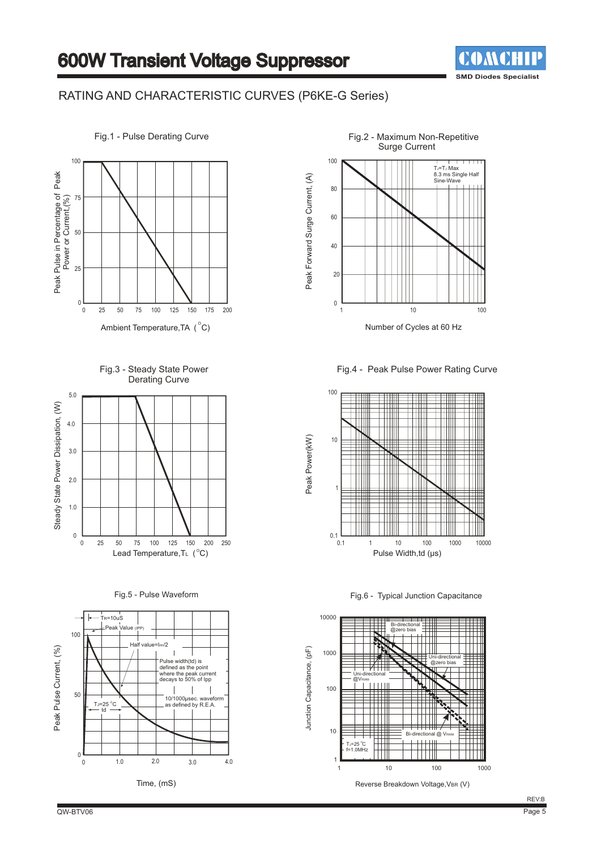

#### RATING AND CHARACTERISTIC CURVES (P6KE-G Series)



Fig.3 - Steady State Power Derating Curve



Fig.5 - Pulse Waveform



Fig.2 - Maximum Non-Repetitive Surge Current 100 TJ=TJ Max<br>8.3 ms Single Half Peak Forward Surge Current, (A) Peak Forward Surge Current, (A) o.5 ms or<br>Sine-Way 80 60 40 20 0 1 10 100 Number of Cycles at 60 Hz

Fig.4 - Peak Pulse Power Rating Curve



Fig.6 - Typical Junction Capacitance